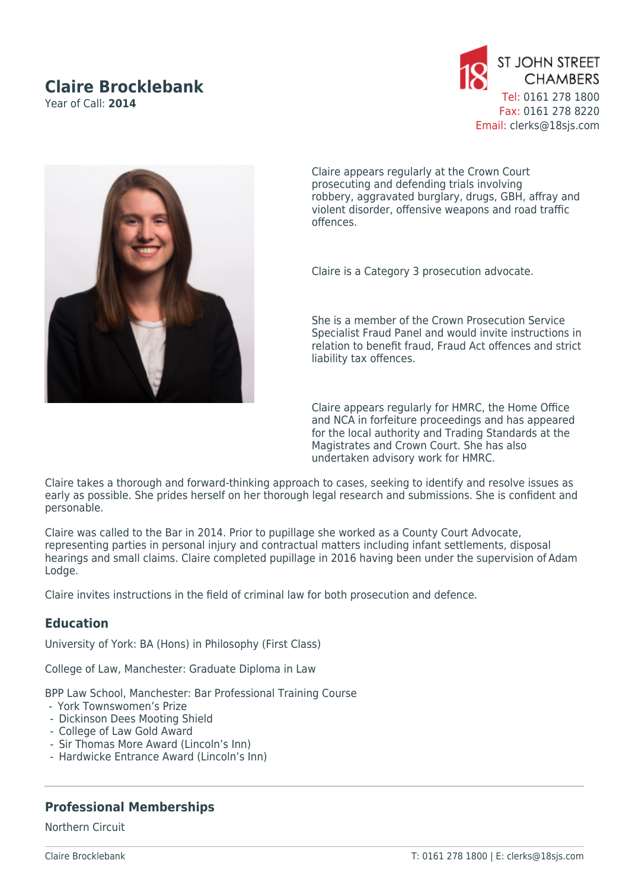# **Claire Brocklebank**

Year of Call: **2014**





Claire appears regularly at the Crown Court prosecuting and defending trials involving robbery, aggravated burglary, drugs, GBH, affray and violent disorder, offensive weapons and road traffic offences.

Claire is a Category 3 prosecution advocate.

She is a member of the Crown Prosecution Service Specialist Fraud Panel and would invite instructions in relation to benefit fraud, Fraud Act offences and strict liability tax offences.

Claire appears regularly for HMRC, the Home Office and NCA in forfeiture proceedings and has appeared for the local authority and Trading Standards at the Magistrates and Crown Court. She has also undertaken advisory work for HMRC.

Claire takes a thorough and forward-thinking approach to cases, seeking to identify and resolve issues as early as possible. She prides herself on her thorough legal research and submissions. She is confident and personable.

Claire was called to the Bar in 2014. Prior to pupillage she worked as a County Court Advocate, representing parties in personal injury and contractual matters including infant settlements, disposal hearings and small claims. Claire completed pupillage in 2016 having been under the supervision of Adam Lodge.

Claire invites instructions in the field of criminal law for both prosecution and defence.

## **Education**

University of York: BA (Hons) in Philosophy (First Class)

College of Law, Manchester: Graduate Diploma in Law

BPP Law School, Manchester: Bar Professional Training Course

- -  York Townswomen's Prize
- Dickinson Dees Mooting Shield
- College of Law Gold Award
- Sir Thomas More Award (Lincoln's Inn)
- Hardwicke Entrance Award (Lincoln's Inn)

### **Professional Memberships**

Northern Circuit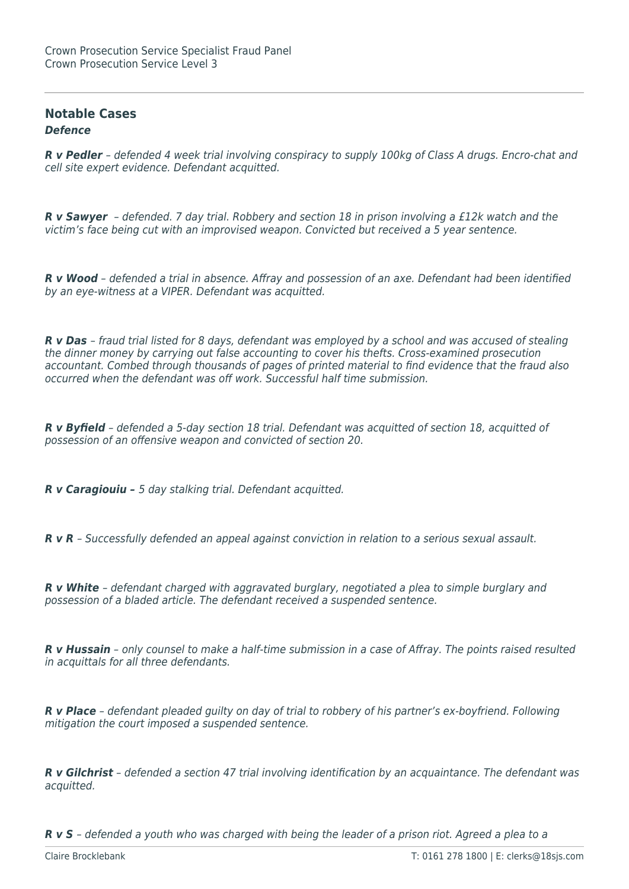### **Notable Cases** *Defence*

*R v Pedler* – defended 4 week trial involving conspiracy to supply 100kg of Class A drugs. Encro-chat and cell site expert evidence. Defendant acquitted.

*R v Sawyer* – defended. 7 day trial. Robbery and section 18 in prison involving a £12k watch and the victim's face being cut with an improvised weapon. Convicted but received a 5 year sentence.

*R v Wood* – defended a trial in absence. Affray and possession of an axe. Defendant had been identified by an eye-witness at a VIPER. Defendant was acquitted.

*R v Das* – fraud trial listed for 8 days, defendant was employed by a school and was accused of stealing the dinner money by carrying out false accounting to cover his thefts. Cross-examined prosecution accountant. Combed through thousands of pages of printed material to find evidence that the fraud also occurred when the defendant was off work. Successful half time submission.

*R v Byfield* – defended a 5-day section 18 trial. Defendant was acquitted of section 18, acquitted of possession of an offensive weapon and convicted of section 20.

*R v Caragiouiu –* 5 day stalking trial. Defendant acquitted.

*R v R* – Successfully defended an appeal against conviction in relation to a serious sexual assault.

*R v White* – defendant charged with aggravated burglary, negotiated a plea to simple burglary and possession of a bladed article. The defendant received a suspended sentence.

*R v Hussain* – only counsel to make a half-time submission in a case of Affray. The points raised resulted in acquittals for all three defendants.

*R v Place* – defendant pleaded guilty on day of trial to robbery of his partner's ex-boyfriend. Following mitigation the court imposed a suspended sentence.

*R v Gilchrist* – defended a section 47 trial involving identification by an acquaintance. The defendant was acquitted.

*R v S* – defended a youth who was charged with being the leader of a prison riot. Agreed a plea to a